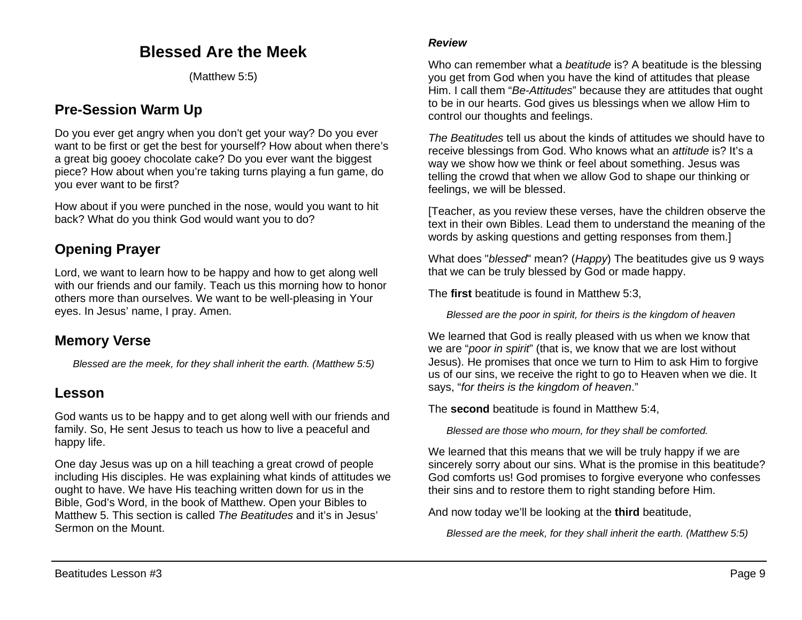# **Blessed Are the Meek**

(Matthew 5:5)

## **Pre-Session Warm Up**

Do you ever get angry when you don't get your way? Do you ever want to be first or get the best for yourself? How about when there's a great big gooey chocolate cake? Do you ever want the biggest piece? How about when you're taking turns playing a fun game, do you ever want to be first?

How about if you were punched in the nose, would you want to hit back? What do you think God would want you to do?

# **Opening Prayer**

Lord, we want to learn how to be happy and how to get along well with our friends and our family. Teach us this morning how to honor others more than ourselves. We want to be well-pleasing in Your eyes. In Jesus' name, I pray. Amen.

#### **Memory Verse**

*Blessed are the meek, for they shall inherit the earth. (Matthew 5:5)*

#### **Lesson**

God wants us to be happy and to get along well with our friends and family. So, He sent Jesus to teach us how to live a peaceful and happy life.

One day Jesus was up on a hill teaching a great crowd of people including His disciples. He was explaining what kinds of attitudes we ought to have. We have His teaching written down for us in the Bible, God's Word, in the book of Matthew. Open your Bibles to Matthew 5. This section is called *The Beatitudes* and it's in Jesus' Sermon on the Mount.

#### *Review*

Who can remember what a *beatitude* is? A beatitude is the blessing you get from God when you have the kind of attitudes that please Him. I call them "*Be-Attitudes*" because they are attitudes that ought to be in our hearts. God gives us blessings when we allow Him to control our thoughts and feelings.

*The Beatitudes* tell us about the kinds of attitudes we should have to receive blessings from God. Who knows what an *attitude* is? It's a way we show how we think or feel about something. Jesus was telling the crowd that when we allow God to shape our thinking or feelings, we will be blessed.

[Teacher, as you review these verses, have the children observe the text in their own Bibles. Lead them to understand the meaning of the words by asking questions and getting responses from them.]

What does "*blessed*" mean? (*Happy*) The beatitudes give us 9 ways that we can be truly blessed by God or made happy.

The **first** beatitude is found in Matthew 5:3,

*Blessed are the poor in spirit, for theirs is the kingdom of heaven*

We learned that God is really pleased with us when we know that we are "*poor in spirit*" (that is, we know that we are lost without Jesus). He promises that once we turn to Him to ask Him to forgive us of our sins, we receive the right to go to Heaven when we die. It says, "*for theirs is the kingdom of heaven*."

The **second** beatitude is found in Matthew 5:4,

*Blessed are those who mourn, for they shall be comforted.*

We learned that this means that we will be truly happy if we are sincerely sorry about our sins. What is the promise in this beatitude? God comforts us! God promises to forgive everyone who confesses their sins and to restore them to right standing before Him.

And now today we'll be looking at the **third** beatitude,

*Blessed are the meek, for they shall inherit the earth. (Matthew 5:5)*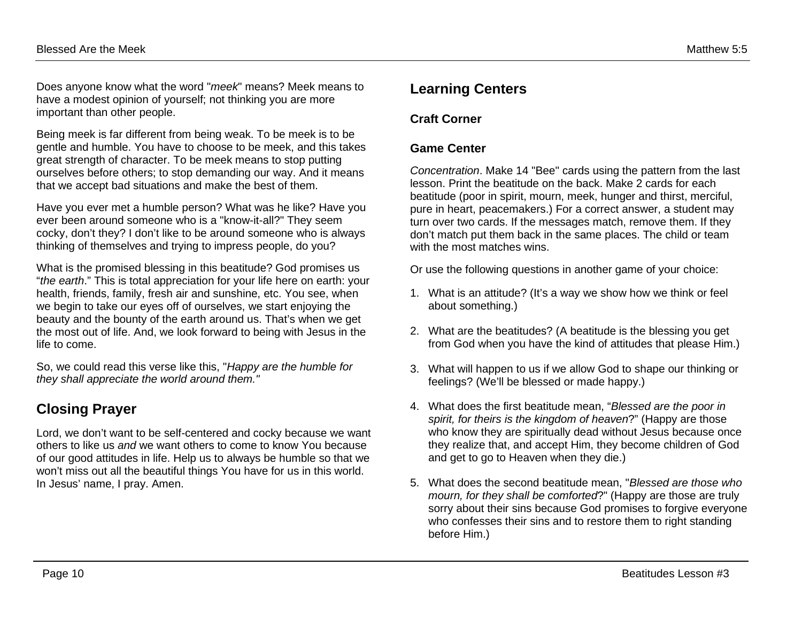Does anyone know what the word "*meek*" means? Meek means to have a modest opinion of yourself; not thinking you are more important than other people.

Being meek is far different from being weak. To be meek is to be gentle and humble. You have to choose to be meek, and this takes great strength of character. To be meek means to stop putting ourselves before others; to stop demanding our way. And it means that we accept bad situations and make the best of them.

Have you ever met a humble person? What was he like? Have you ever been around someone who is a "know-it-all?" They seem cocky, don't they? I don't like to be around someone who is always thinking of themselves and trying to impress people, do you?

What is the promised blessing in this beatitude? God promises us "*the earth*." This is total appreciation for your life here on earth: your health, friends, family, fresh air and sunshine, etc. You see, when we begin to take our eyes off of ourselves, we start enjoying the beauty and the bounty of the earth around us. That's when we get the most out of life. And, we look forward to being with Jesus in the life to come.

So, we could read this verse like this, "*Happy are the humble for they shall appreciate the world around them."*

## **Closing Prayer**

Lord, we don't want to be self-centered and cocky because we want others to like us *and* we want others to come to know You because of our good attitudes in life. Help us to always be humble so that we won't miss out all the beautiful things You have for us in this world. In Jesus' name, I pray. Amen.

#### **Learning Centers**

#### **Craft Corner**

#### **Game Center**

*Concentration*. Make 14 "Bee" cards using the pattern from the last lesson. Print the beatitude on the back. Make 2 cards for each beatitude (poor in spirit, mourn, meek, hunger and thirst, merciful, pure in heart, peacemakers.) For a correct answer, a student may turn over two cards. If the messages match, remove them. If they don't match put them back in the same places. The child or team with the most matches wins.

Or use the following questions in another game of your choice:

- 1. What is an attitude? (It's a way we show how we think or feel about something.)
- 2. What are the beatitudes? (A beatitude is the blessing you get from God when you have the kind of attitudes that please Him.)
- 3. What will happen to us if we allow God to shape our thinking or feelings? (We'll be blessed or made happy.)
- 4. What does the first beatitude mean, "*Blessed are the poor in spirit, for theirs is the kingdom of heaven*?" (Happy are those who know they are spiritually dead without Jesus because once they realize that, and accept Him, they become children of God and get to go to Heaven when they die.)
- 5. What does the second beatitude mean, "*Blessed are those who mourn, for they shall be comforted*?" (Happy are those are truly sorry about their sins because God promises to forgive everyone who confesses their sins and to restore them to right standing before Him.)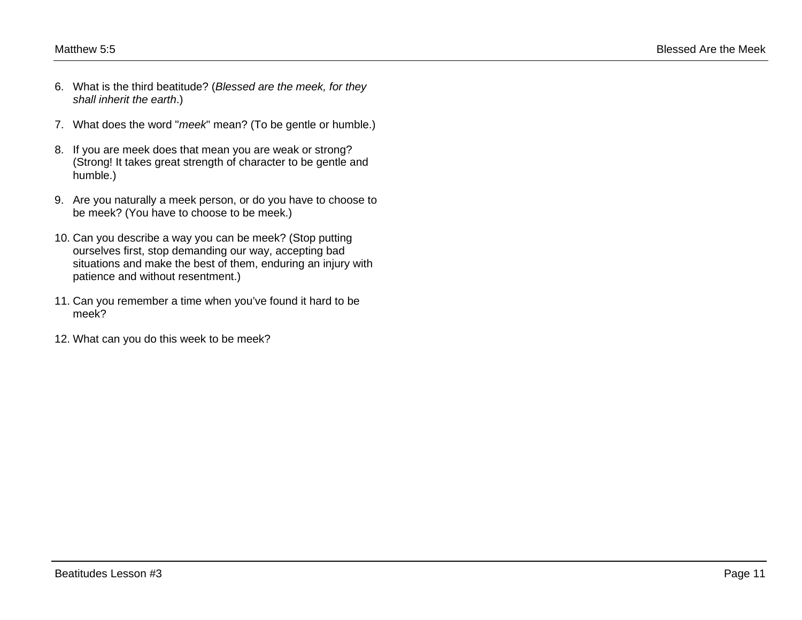- 6. What is the third beatitude? (*Blessed are the meek, for they shall inherit the earth*.)
- 7. What does the word "*meek*" mean? (To be gentle or humble.)
- 8. If you are meek does that mean you are weak or strong? (Strong! It takes great strength of character to be gentle and humble.)
- 9. Are you naturally a meek person, or do you have to choose to be meek? (You have to choose to be meek.)
- 10. Can you describe a way you can be meek? (Stop putting ourselves first, stop demanding our way, accepting bad situations and make the best of them, enduring an injury with patience and without resentment.)
- 11. Can you remember a time when you've found it hard to be meek?
- 12. What can you do this week to be meek?